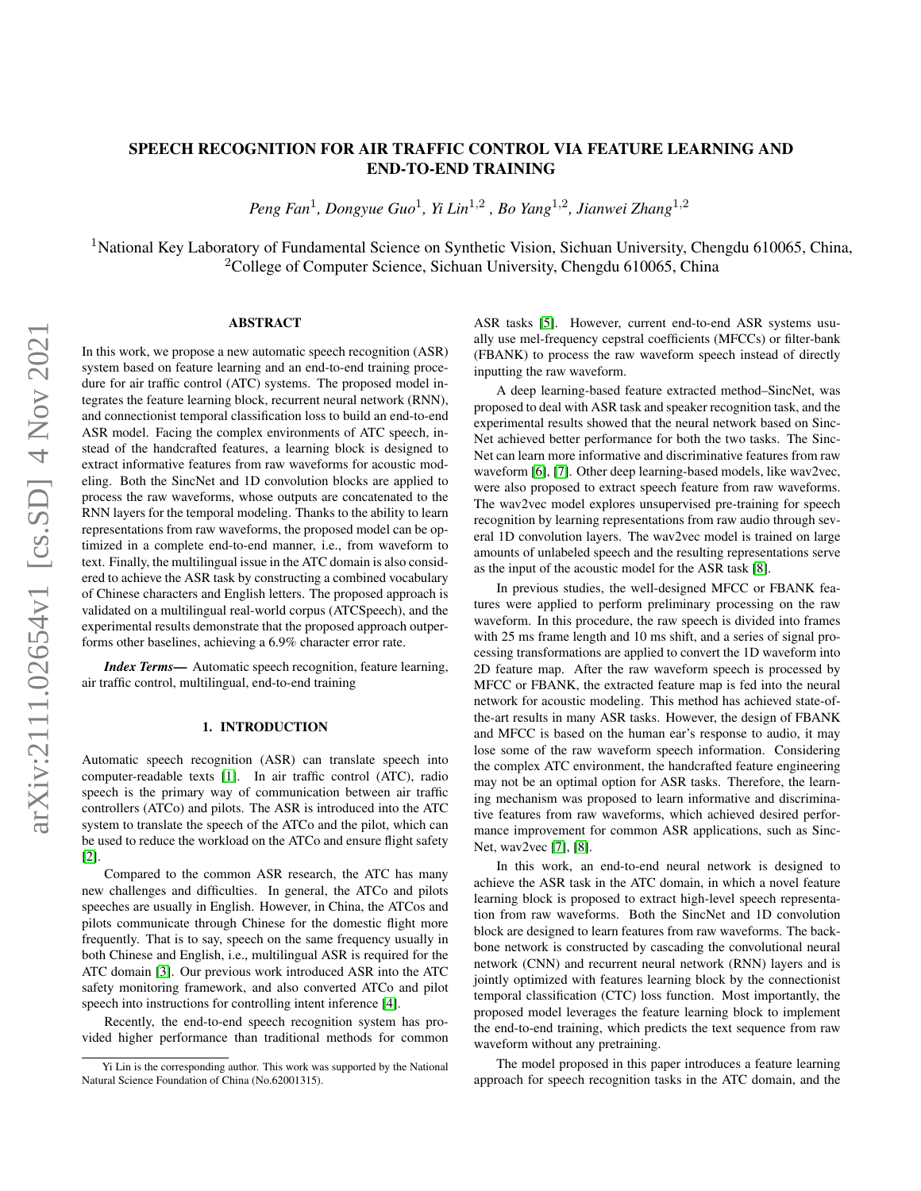# SPEECH RECOGNITION FOR AIR TRAFFIC CONTROL VIA FEATURE LEARNING AND END-TO-END TRAINING

*Peng Fan*<sup>1</sup> *, Dongyue Guo*<sup>1</sup> *, Yi Lin*1,<sup>2</sup> *, Bo Yang*1,<sup>2</sup> *, Jianwei Zhang*1,<sup>2</sup>

<sup>1</sup>National Key Laboratory of Fundamental Science on Synthetic Vision, Sichuan University, Chengdu 610065, China, <sup>2</sup>College of Computer Science, Sichuan University, Chengdu 610065, China

## ABSTRACT

In this work, we propose a new automatic speech recognition (ASR) system based on feature learning and an end-to-end training procedure for air traffic control (ATC) systems. The proposed model integrates the feature learning block, recurrent neural network (RNN), and connectionist temporal classification loss to build an end-to-end ASR model. Facing the complex environments of ATC speech, instead of the handcrafted features, a learning block is designed to extract informative features from raw waveforms for acoustic modeling. Both the SincNet and 1D convolution blocks are applied to process the raw waveforms, whose outputs are concatenated to the RNN layers for the temporal modeling. Thanks to the ability to learn representations from raw waveforms, the proposed model can be optimized in a complete end-to-end manner, i.e., from waveform to text. Finally, the multilingual issue in the ATC domain is also considered to achieve the ASR task by constructing a combined vocabulary of Chinese characters and English letters. The proposed approach is validated on a multilingual real-world corpus (ATCSpeech), and the experimental results demonstrate that the proposed approach outperforms other baselines, achieving a 6.9% character error rate.

*Index Terms*— Automatic speech recognition, feature learning, air traffic control, multilingual, end-to-end training

## 1. INTRODUCTION

Automatic speech recognition (ASR) can translate speech into computer-readable texts [\[1\]](#page-4-0). In air traffic control (ATC), radio speech is the primary way of communication between air traffic controllers (ATCo) and pilots. The ASR is introduced into the ATC system to translate the speech of the ATCo and the pilot, which can be used to reduce the workload on the ATCo and ensure flight safety [\[2\]](#page-4-1).

Compared to the common ASR research, the ATC has many new challenges and difficulties. In general, the ATCo and pilots speeches are usually in English. However, in China, the ATCos and pilots communicate through Chinese for the domestic flight more frequently. That is to say, speech on the same frequency usually in both Chinese and English, i.e., multilingual ASR is required for the ATC domain [\[3\]](#page-4-2). Our previous work introduced ASR into the ATC safety monitoring framework, and also converted ATCo and pilot speech into instructions for controlling intent inference [\[4\]](#page-4-3).

Recently, the end-to-end speech recognition system has provided higher performance than traditional methods for common ASR tasks [\[5\]](#page-4-4). However, current end-to-end ASR systems usually use mel-frequency cepstral coefficients (MFCCs) or filter-bank (FBANK) to process the raw waveform speech instead of directly inputting the raw waveform.

A deep learning-based feature extracted method–SincNet, was proposed to deal with ASR task and speaker recognition task, and the experimental results showed that the neural network based on Sinc-Net achieved better performance for both the two tasks. The Sinc-Net can learn more informative and discriminative features from raw waveform [\[6\]](#page-4-5), [\[7\]](#page-4-6). Other deep learning-based models, like wav2vec, were also proposed to extract speech feature from raw waveforms. The wav2vec model explores unsupervised pre-training for speech recognition by learning representations from raw audio through several 1D convolution layers. The wav2vec model is trained on large amounts of unlabeled speech and the resulting representations serve as the input of the acoustic model for the ASR task [\[8\]](#page-4-7).

In previous studies, the well-designed MFCC or FBANK features were applied to perform preliminary processing on the raw waveform. In this procedure, the raw speech is divided into frames with 25 ms frame length and 10 ms shift, and a series of signal processing transformations are applied to convert the 1D waveform into 2D feature map. After the raw waveform speech is processed by MFCC or FBANK, the extracted feature map is fed into the neural network for acoustic modeling. This method has achieved state-ofthe-art results in many ASR tasks. However, the design of FBANK and MFCC is based on the human ear's response to audio, it may lose some of the raw waveform speech information. Considering the complex ATC environment, the handcrafted feature engineering may not be an optimal option for ASR tasks. Therefore, the learning mechanism was proposed to learn informative and discriminative features from raw waveforms, which achieved desired performance improvement for common ASR applications, such as Sinc-Net, wav2vec [\[7\]](#page-4-6), [\[8\]](#page-4-7).

In this work, an end-to-end neural network is designed to achieve the ASR task in the ATC domain, in which a novel feature learning block is proposed to extract high-level speech representation from raw waveforms. Both the SincNet and 1D convolution block are designed to learn features from raw waveforms. The backbone network is constructed by cascading the convolutional neural network (CNN) and recurrent neural network (RNN) layers and is jointly optimized with features learning block by the connectionist temporal classification (CTC) loss function. Most importantly, the proposed model leverages the feature learning block to implement the end-to-end training, which predicts the text sequence from raw waveform without any pretraining.

The model proposed in this paper introduces a feature learning approach for speech recognition tasks in the ATC domain, and the

Yi Lin is the corresponding author. This work was supported by the National Natural Science Foundation of China (No.62001315).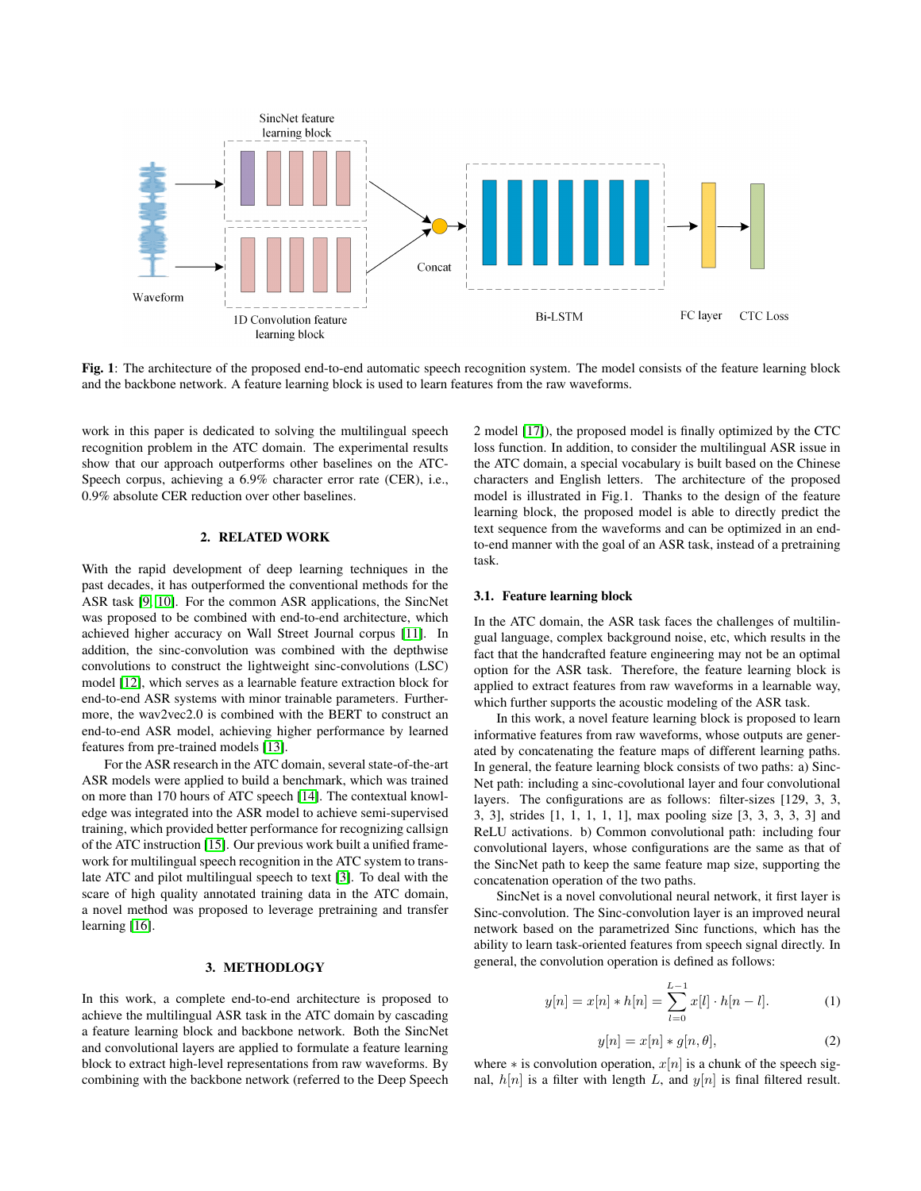

Fig. 1: The architecture of the proposed end-to-end automatic speech recognition system. The model consists of the feature learning block and the backbone network. A feature learning block is used to learn features from the raw waveforms.

work in this paper is dedicated to solving the multilingual speech recognition problem in the ATC domain. The experimental results show that our approach outperforms other baselines on the ATC-Speech corpus, achieving a 6.9% character error rate (CER), i.e., 0.9% absolute CER reduction over other baselines.

## 2. RELATED WORK

With the rapid development of deep learning techniques in the past decades, it has outperformed the conventional methods for the ASR task [\[9,](#page-4-8) [10\]](#page-4-9). For the common ASR applications, the SincNet was proposed to be combined with end-to-end architecture, which achieved higher accuracy on Wall Street Journal corpus [\[11\]](#page-4-10). In addition, the sinc-convolution was combined with the depthwise convolutions to construct the lightweight sinc-convolutions (LSC) model [\[12\]](#page-4-11), which serves as a learnable feature extraction block for end-to-end ASR systems with minor trainable parameters. Furthermore, the wav2vec2.0 is combined with the BERT to construct an end-to-end ASR model, achieving higher performance by learned features from pre-trained models [\[13\]](#page-4-12).

For the ASR research in the ATC domain, several state-of-the-art ASR models were applied to build a benchmark, which was trained on more than 170 hours of ATC speech [\[14\]](#page-4-13). The contextual knowledge was integrated into the ASR model to achieve semi-supervised training, which provided better performance for recognizing callsign of the ATC instruction [\[15\]](#page-4-14). Our previous work built a unified framework for multilingual speech recognition in the ATC system to translate ATC and pilot multilingual speech to text [\[3\]](#page-4-2). To deal with the scare of high quality annotated training data in the ATC domain, a novel method was proposed to leverage pretraining and transfer learning [\[16\]](#page-4-15).

## 3. METHODLOGY

In this work, a complete end-to-end architecture is proposed to achieve the multilingual ASR task in the ATC domain by cascading a feature learning block and backbone network. Both the SincNet and convolutional layers are applied to formulate a feature learning block to extract high-level representations from raw waveforms. By combining with the backbone network (referred to the Deep Speech 2 model [\[17\]](#page-4-16)), the proposed model is finally optimized by the CTC loss function. In addition, to consider the multilingual ASR issue in the ATC domain, a special vocabulary is built based on the Chinese characters and English letters. The architecture of the proposed model is illustrated in Fig.1. Thanks to the design of the feature learning block, the proposed model is able to directly predict the text sequence from the waveforms and can be optimized in an endto-end manner with the goal of an ASR task, instead of a pretraining task.

## 3.1. Feature learning block

In the ATC domain, the ASR task faces the challenges of multilingual language, complex background noise, etc, which results in the fact that the handcrafted feature engineering may not be an optimal option for the ASR task. Therefore, the feature learning block is applied to extract features from raw waveforms in a learnable way, which further supports the acoustic modeling of the ASR task.

In this work, a novel feature learning block is proposed to learn informative features from raw waveforms, whose outputs are generated by concatenating the feature maps of different learning paths. In general, the feature learning block consists of two paths: a) Sinc-Net path: including a sinc-covolutional layer and four convolutional layers. The configurations are as follows: filter-sizes [129, 3, 3, 3, 3], strides [1, 1, 1, 1, 1], max pooling size [3, 3, 3, 3, 3] and ReLU activations. b) Common convolutional path: including four convolutional layers, whose configurations are the same as that of the SincNet path to keep the same feature map size, supporting the concatenation operation of the two paths.

SincNet is a novel convolutional neural network, it first layer is Sinc-convolution. The Sinc-convolution layer is an improved neural network based on the parametrized Sinc functions, which has the ability to learn task-oriented features from speech signal directly. In general, the convolution operation is defined as follows:

$$
y[n] = x[n] * h[n] = \sum_{l=0}^{L-1} x[l] \cdot h[n-l]. \tag{1}
$$

$$
y[n] = x[n] * g[n, \theta], \tag{2}
$$

where  $*$  is convolution operation,  $x[n]$  is a chunk of the speech signal,  $h[n]$  is a filter with length L, and  $y[n]$  is final filtered result.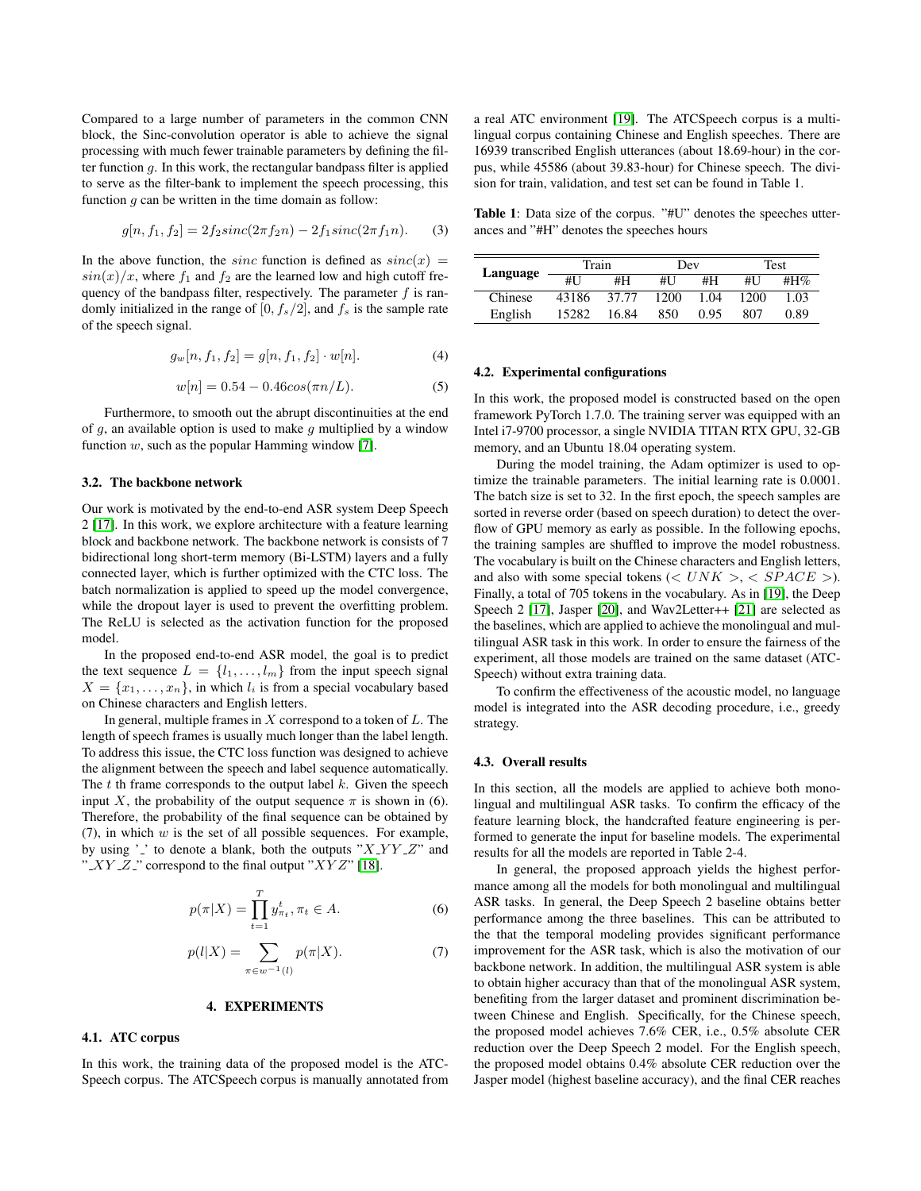Compared to a large number of parameters in the common CNN block, the Sinc-convolution operator is able to achieve the signal processing with much fewer trainable parameters by defining the filter function  $g$ . In this work, the rectangular bandpass filter is applied to serve as the filter-bank to implement the speech processing, this function  $g$  can be written in the time domain as follow:

$$
g[n, f_1, f_2] = 2f_2 sinc(2\pi f_2 n) - 2f_1 sinc(2\pi f_1 n). \tag{3}
$$

In the above function, the *sinc* function is defined as  $sinc(x)$  =  $sin(x)/x$ , where  $f_1$  and  $f_2$  are the learned low and high cutoff frequency of the bandpass filter, respectively. The parameter  $f$  is randomly initialized in the range of  $[0, f_s/2]$ , and  $f_s$  is the sample rate of the speech signal.

$$
g_w[n, f_1, f_2] = g[n, f_1, f_2] \cdot w[n]. \tag{4}
$$

$$
w[n] = 0.54 - 0.46 \cos(\pi n/L). \tag{5}
$$

Furthermore, to smooth out the abrupt discontinuities at the end of q, an available option is used to make q multiplied by a window function  $w$ , such as the popular Hamming window [\[7\]](#page-4-6).

### 3.2. The backbone network

Our work is motivated by the end-to-end ASR system Deep Speech 2 [\[17\]](#page-4-16). In this work, we explore architecture with a feature learning block and backbone network. The backbone network is consists of 7 bidirectional long short-term memory (Bi-LSTM) layers and a fully connected layer, which is further optimized with the CTC loss. The batch normalization is applied to speed up the model convergence, while the dropout layer is used to prevent the overfitting problem. The ReLU is selected as the activation function for the proposed model.

In the proposed end-to-end ASR model, the goal is to predict the text sequence  $L = \{l_1, \ldots, l_m\}$  from the input speech signal  $X = \{x_1, \ldots, x_n\}$ , in which  $l_i$  is from a special vocabulary based on Chinese characters and English letters.

In general, multiple frames in  $X$  correspond to a token of  $L$ . The length of speech frames is usually much longer than the label length. To address this issue, the CTC loss function was designed to achieve the alignment between the speech and label sequence automatically. The  $t$  th frame corresponds to the output label  $k$ . Given the speech input X, the probability of the output sequence  $\pi$  is shown in (6). Therefore, the probability of the final sequence can be obtained by (7), in which  $w$  is the set of all possible sequences. For example, by using ' $\cdot$ ' to denote a blank, both the outputs " $X_1Y_1Z_2$ " and " $XYZ$ " correspond to the final output " $XYZ$ " [\[18\]](#page-4-17).

$$
p(\pi|X) = \prod_{t=1}^{T} y_{\pi_t}^t, \pi_t \in A.
$$
 (6)

$$
p(l|X) = \sum_{\pi \in w^{-1}(l)} p(\pi|X).
$$
 (7)

#### 4. EXPERIMENTS

### 4.1. ATC corpus

In this work, the training data of the proposed model is the ATC-Speech corpus. The ATCSpeech corpus is manually annotated from

a real ATC environment [\[19\]](#page-4-18). The ATCSpeech corpus is a multilingual corpus containing Chinese and English speeches. There are 16939 transcribed English utterances (about 18.69-hour) in the corpus, while 45586 (about 39.83-hour) for Chinese speech. The division for train, validation, and test set can be found in Table 1.

Table 1: Data size of the corpus. "#U" denotes the speeches utterances and "#H" denotes the speeches hours

|          | Train |       | Dev  |      | Test |      |
|----------|-------|-------|------|------|------|------|
| Language | #U    | #H    | #U   | #H   | #U   | #H\% |
| Chinese  | 43186 | 37.77 | 1200 | 1.04 | 1200 | 1.03 |
| English  | 15282 | 16.84 | 850  | 0.95 | 807  | 0.89 |

### 4.2. Experimental configurations

In this work, the proposed model is constructed based on the open framework PyTorch 1.7.0. The training server was equipped with an Intel i7-9700 processor, a single NVIDIA TITAN RTX GPU, 32-GB memory, and an Ubuntu 18.04 operating system.

During the model training, the Adam optimizer is used to optimize the trainable parameters. The initial learning rate is 0.0001. The batch size is set to 32. In the first epoch, the speech samples are sorted in reverse order (based on speech duration) to detect the overflow of GPU memory as early as possible. In the following epochs, the training samples are shuffled to improve the model robustness. The vocabulary is built on the Chinese characters and English letters, and also with some special tokens ( $\langle UNK \rangle$ ,  $\langle SPACE \rangle$ ). Finally, a total of 705 tokens in the vocabulary. As in [\[19\]](#page-4-18), the Deep Speech 2 [\[17\]](#page-4-16), Jasper [\[20\]](#page-4-19), and Wav2Letter++ [\[21\]](#page-4-20) are selected as the baselines, which are applied to achieve the monolingual and multilingual ASR task in this work. In order to ensure the fairness of the experiment, all those models are trained on the same dataset (ATC-Speech) without extra training data.

To confirm the effectiveness of the acoustic model, no language model is integrated into the ASR decoding procedure, i.e., greedy strategy.

## 4.3. Overall results

In this section, all the models are applied to achieve both monolingual and multilingual ASR tasks. To confirm the efficacy of the feature learning block, the handcrafted feature engineering is performed to generate the input for baseline models. The experimental results for all the models are reported in Table 2-4.

In general, the proposed approach yields the highest performance among all the models for both monolingual and multilingual ASR tasks. In general, the Deep Speech 2 baseline obtains better performance among the three baselines. This can be attributed to the that the temporal modeling provides significant performance improvement for the ASR task, which is also the motivation of our backbone network. In addition, the multilingual ASR system is able to obtain higher accuracy than that of the monolingual ASR system, benefiting from the larger dataset and prominent discrimination between Chinese and English. Specifically, for the Chinese speech, the proposed model achieves 7.6% CER, i.e., 0.5% absolute CER reduction over the Deep Speech 2 model. For the English speech, the proposed model obtains 0.4% absolute CER reduction over the Jasper model (highest baseline accuracy), and the final CER reaches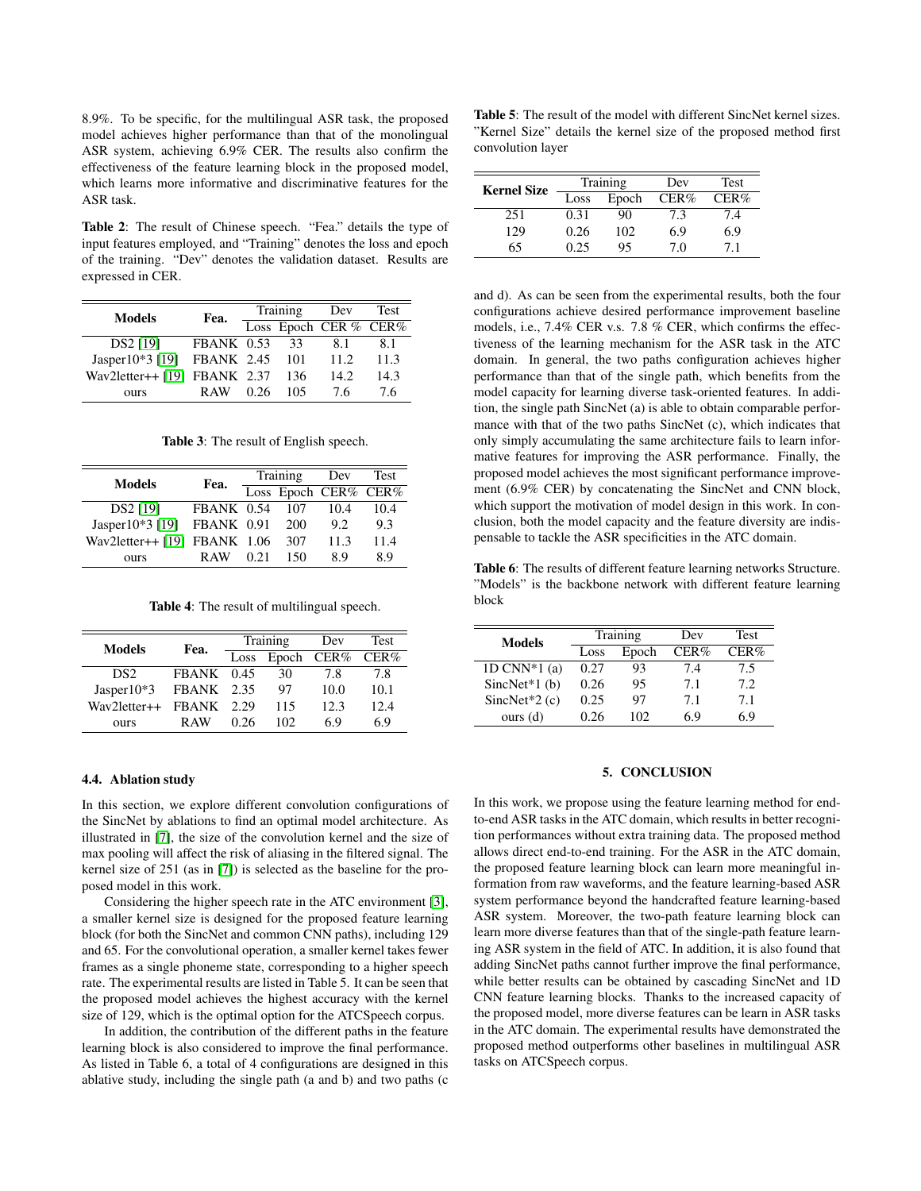8.9%. To be specific, for the multilingual ASR task, the proposed model achieves higher performance than that of the monolingual ASR system, achieving 6.9% CER. The results also confirm the effectiveness of the feature learning block in the proposed model, which learns more informative and discriminative features for the ASR task.

Table 2: The result of Chinese speech. "Fea." details the type of input features employed, and "Training" denotes the loss and epoch of the training. "Dev" denotes the validation dataset. Results are expressed in CER.

| <b>Models</b>                | Fea.         | Training |     | Dev                   | Test |
|------------------------------|--------------|----------|-----|-----------------------|------|
|                              |              |          |     | Loss Epoch CER % CER% |      |
| DS2 [19]                     | $FBANK$ 0.53 |          | 33  | 81                    | 8.1  |
| Jasper10*3 [19] FBANK 2.45   |              |          | 101 | 11.2.                 | 11.3 |
| Wav2letter++ [19] FBANK 2.37 |              |          | 136 | 14.2.                 | 14.3 |
| <b>OUTS</b>                  | R AW         | 0.26     | 105 | 76                    | 76   |

Table 3: The result of English speech.

| <b>Models</b>                  | Fea.       | Training |     | Dev                  | Test |
|--------------------------------|------------|----------|-----|----------------------|------|
|                                |            |          |     | Loss Epoch CER% CER% |      |
| DS2 [19]                       | FBANK 0.54 |          | 107 | 10.4                 | 10.4 |
| Jasper10 $*3$ [19]             | FBANK 0.91 |          | 200 | 9.2                  | 9.3  |
| Wav2letter++ $[19]$ FBANK 1.06 |            |          | 307 | 11.3                 | 11.4 |
| ours                           | R AW       | 0.21     | 150 | 89                   | 8.9  |

Table 4: The result of multilingual speech.

| <b>Models</b>   | Fea.              |      | Training | Dev  | <b>Test</b> |
|-----------------|-------------------|------|----------|------|-------------|
|                 |                   | Loss | Epoch    | CER% | CER%        |
| DS <sub>2</sub> | $FBANK$ 0.45      |      | 30       | 7.8  | 7.8         |
| Jasper $10*3$   | <b>FBANK</b> 2.35 |      | 97       | 10.0 | 10.1        |
| Wav2letter++    | FBANK             | 2.29 | 115      | 12.3 | 12.4        |
| ours            | R AW              | 0.26 | 102      | 69   | 6.9         |

## 4.4. Ablation study

In this section, we explore different convolution configurations of the SincNet by ablations to find an optimal model architecture. As illustrated in [\[7\]](#page-4-6), the size of the convolution kernel and the size of max pooling will affect the risk of aliasing in the filtered signal. The kernel size of 251 (as in [\[7\]](#page-4-6)) is selected as the baseline for the proposed model in this work.

Considering the higher speech rate in the ATC environment [\[3\]](#page-4-2), a smaller kernel size is designed for the proposed feature learning block (for both the SincNet and common CNN paths), including 129 and 65. For the convolutional operation, a smaller kernel takes fewer frames as a single phoneme state, corresponding to a higher speech rate. The experimental results are listed in Table 5. It can be seen that the proposed model achieves the highest accuracy with the kernel size of 129, which is the optimal option for the ATCSpeech corpus.

In addition, the contribution of the different paths in the feature learning block is also considered to improve the final performance. As listed in Table 6, a total of 4 configurations are designed in this ablative study, including the single path (a and b) and two paths (c

Table 5: The result of the model with different SincNet kernel sizes. "Kernel Size" details the kernel size of the proposed method first convolution layer

| <b>Kernel Size</b> |      | <b>Training</b> | Dev  | <b>Test</b> |
|--------------------|------|-----------------|------|-------------|
|                    | Loss | Epoch           | CER% | CER%        |
| 251                | 0.31 | 90              | 7.3  | 7.4         |
| 129                | 0.26 | 102             | 6.9  | 6.9         |
| 65                 | 0.25 | 95              | 70   | 71          |

and d). As can be seen from the experimental results, both the four configurations achieve desired performance improvement baseline models, i.e., 7.4% CER v.s. 7.8 % CER, which confirms the effectiveness of the learning mechanism for the ASR task in the ATC domain. In general, the two paths configuration achieves higher performance than that of the single path, which benefits from the model capacity for learning diverse task-oriented features. In addition, the single path SincNet (a) is able to obtain comparable performance with that of the two paths SincNet (c), which indicates that only simply accumulating the same architecture fails to learn informative features for improving the ASR performance. Finally, the proposed model achieves the most significant performance improvement (6.9% CER) by concatenating the SincNet and CNN block, which support the motivation of model design in this work. In conclusion, both the model capacity and the feature diversity are indispensable to tackle the ASR specificities in the ATC domain.

Table 6: The results of different feature learning networks Structure. "Models" is the backbone network with different feature learning block

| Models           |      | Training | Dev  | Test |
|------------------|------|----------|------|------|
|                  | Loss | Epoch    | CER% | CER% |
| 1D CNN $*1$ (a)  | 0.27 | 93       | 7.4  | 7.5  |
| Sinc $Net*1(b)$  | 0.26 | 95       | 7.1  | 7.2  |
| SincNet $*2$ (c) | 0.25 | 97       | 7.1  | 7.1  |
| ours(d)          | 0 26 | 102      | 69   | 6 ዓ  |

### 5. CONCLUSION

In this work, we propose using the feature learning method for endto-end ASR tasks in the ATC domain, which results in better recognition performances without extra training data. The proposed method allows direct end-to-end training. For the ASR in the ATC domain, the proposed feature learning block can learn more meaningful information from raw waveforms, and the feature learning-based ASR system performance beyond the handcrafted feature learning-based ASR system. Moreover, the two-path feature learning block can learn more diverse features than that of the single-path feature learning ASR system in the field of ATC. In addition, it is also found that adding SincNet paths cannot further improve the final performance, while better results can be obtained by cascading SincNet and 1D CNN feature learning blocks. Thanks to the increased capacity of the proposed model, more diverse features can be learn in ASR tasks in the ATC domain. The experimental results have demonstrated the proposed method outperforms other baselines in multilingual ASR tasks on ATCSpeech corpus.